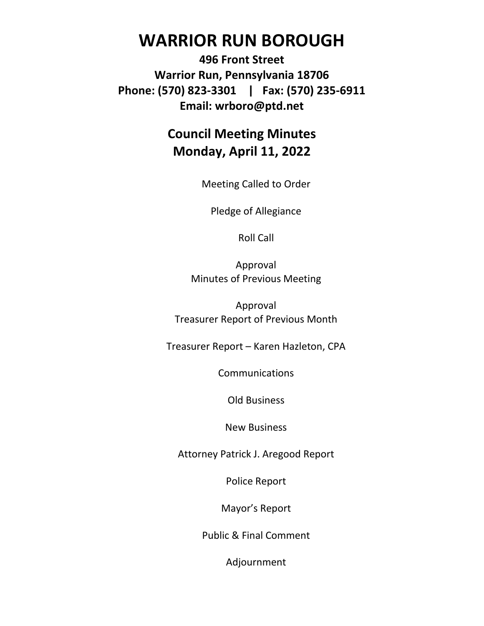# **WARRIOR RUN BOROUGH**

**496 Front Street Warrior Run, Pennsylvania 18706 Phone: (570) 823-3301 | Fax: (570) 235-6911 Email: wrboro@ptd.net**

## **Council Meeting Minutes Monday, April 11, 2022**

Meeting Called to Order

Pledge of Allegiance

Roll Call

Approval Minutes of Previous Meeting

Approval Treasurer Report of Previous Month

Treasurer Report – Karen Hazleton, CPA

**Communications** 

Old Business

New Business

Attorney Patrick J. Aregood Report

Police Report

Mayor's Report

Public & Final Comment

Adjournment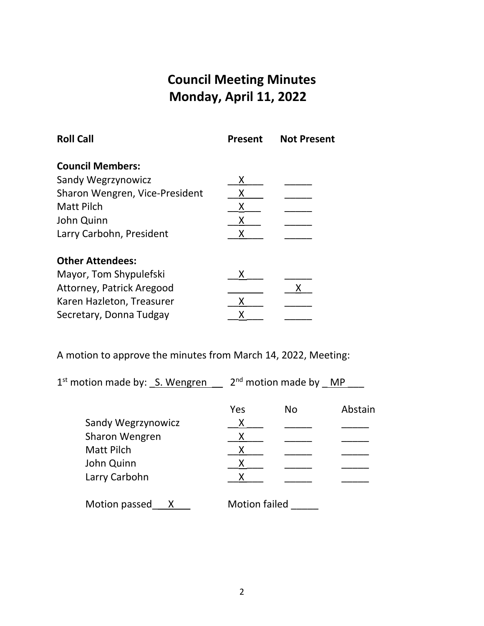## **Council Meeting Minutes Monday, April 11, 2022**

| <b>Present</b> | <b>Not Present</b> |
|----------------|--------------------|
|                |                    |
| х              |                    |
|                |                    |
| Χ              |                    |
| Χ              |                    |
|                |                    |
|                |                    |
| х              |                    |
|                |                    |
| Χ              |                    |
| x              |                    |
|                |                    |

A motion to approve the minutes from March 14, 2022, Meeting:

| $1st$ motion made by: S. Wengren |                      | $2nd$ motion made by MP |         |
|----------------------------------|----------------------|-------------------------|---------|
|                                  | Yes                  | <b>No</b>               | Abstain |
| Sandy Wegrzynowicz               | Χ                    |                         |         |
| Sharon Wengren                   |                      |                         |         |
| <b>Matt Pilch</b>                |                      |                         |         |
| John Quinn                       |                      |                         |         |
| Larry Carbohn                    |                      |                         |         |
| Motion passed                    | <b>Motion failed</b> |                         |         |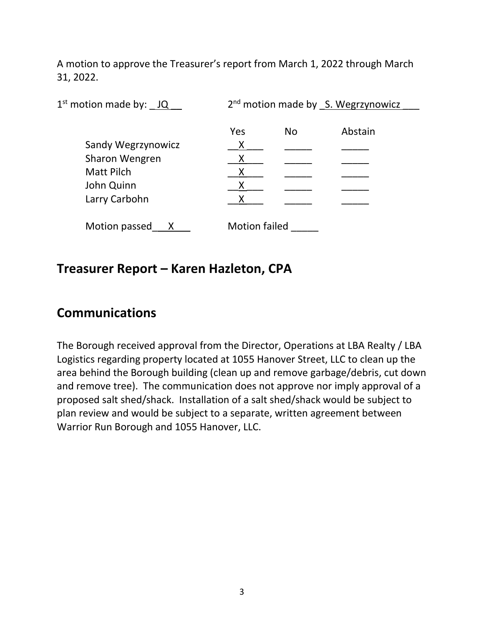A motion to approve the Treasurer's report from March 1, 2022 through March 31, 2022.

| $1st$ motion made by: $JQ$ | 2 <sup>nd</sup> motion made by S. Wegrzynowicz |           |         |  |
|----------------------------|------------------------------------------------|-----------|---------|--|
|                            | Yes                                            | <b>No</b> | Abstain |  |
| <b>Sandy Wegrzynowicz</b>  |                                                |           |         |  |
| Sharon Wengren             |                                                |           |         |  |
| <b>Matt Pilch</b>          |                                                |           |         |  |
| John Quinn                 |                                                |           |         |  |
| Larry Carbohn              |                                                |           |         |  |
| Motion passed              | <b>Motion failed</b>                           |           |         |  |

#### **Treasurer Report – Karen Hazleton, CPA**

## **Communications**

The Borough received approval from the Director, Operations at LBA Realty / LBA Logistics regarding property located at 1055 Hanover Street, LLC to clean up the area behind the Borough building (clean up and remove garbage/debris, cut down and remove tree). The communication does not approve nor imply approval of a proposed salt shed/shack. Installation of a salt shed/shack would be subject to plan review and would be subject to a separate, written agreement between Warrior Run Borough and 1055 Hanover, LLC.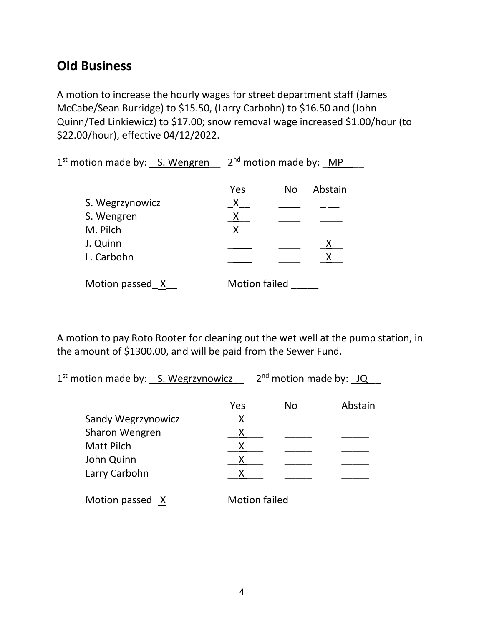## **Old Business**

A motion to increase the hourly wages for street department staff (James McCabe/Sean Burridge) to \$15.50, (Larry Carbohn) to \$16.50 and (John Quinn/Ted Linkiewicz) to \$17.00; snow removal wage increased \$1.00/hour (to \$22.00/hour), effective 04/12/2022.

1<sup>st</sup> motion made by: S. Wengren 2<sup>nd</sup> motion made by: MP

|                 | Yes                  | No | Abstain |
|-----------------|----------------------|----|---------|
| S. Wegrzynowicz | x                    |    |         |
| S. Wengren      | X                    |    |         |
| M. Pilch        | Χ                    |    |         |
| J. Quinn        |                      |    |         |
| L. Carbohn      |                      |    |         |
| Motion passed X | <b>Motion failed</b> |    |         |

A motion to pay Roto Rooter for cleaning out the wet well at the pump station, in the amount of \$1300.00, and will be paid from the Sewer Fund.

1<sup>st</sup> motion made by: <u>S. Wegrzynowicz</u> 2<sup>nd</sup> motion made by: JQ

|                    | Yes                  | No | Abstain |
|--------------------|----------------------|----|---------|
| Sandy Wegrzynowicz | X                    |    |         |
| Sharon Wengren     | х                    |    |         |
| <b>Matt Pilch</b>  |                      |    |         |
| John Quinn         | X                    |    |         |
| Larry Carbohn      |                      |    |         |
| Motion passed X    | <b>Motion failed</b> |    |         |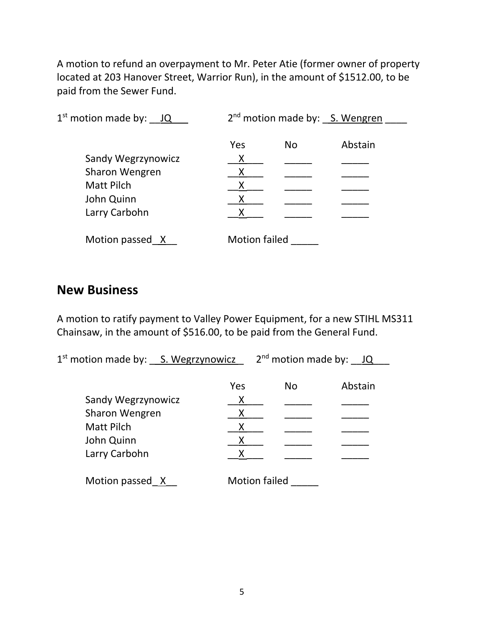A motion to refund an overpayment to Mr. Peter Atie (former owner of property located at 203 Hanover Street, Warrior Run), in the amount of \$1512.00, to be paid from the Sewer Fund.

| $1st$ motion made by: $JQ$ | 2 <sup>nd</sup> motion made by: S. Wengren |           |         |  |
|----------------------------|--------------------------------------------|-----------|---------|--|
|                            | Yes                                        | <b>No</b> | Abstain |  |
| <b>Sandy Wegrzynowicz</b>  | Χ                                          |           |         |  |
| Sharon Wengren             |                                            |           |         |  |
| <b>Matt Pilch</b>          |                                            |           |         |  |
| John Quinn                 |                                            |           |         |  |
| Larry Carbohn              |                                            |           |         |  |
| Motion passed X            | <b>Motion failed</b>                       |           |         |  |

#### **New Business**

A motion to ratify payment to Valley Power Equipment, for a new STIHL MS311 Chainsaw, in the amount of \$516.00, to be paid from the General Fund.

1<sup>st</sup> motion made by: \_\_ S. Wegrzynowicz \_\_ 2<sup>nd</sup> motion made by: \_\_ JQ \_\_\_

|                    | Yes                  | <b>No</b> | Abstain |
|--------------------|----------------------|-----------|---------|
| Sandy Wegrzynowicz | x                    |           |         |
| Sharon Wengren     |                      |           |         |
| <b>Matt Pilch</b>  |                      |           |         |
| John Quinn         | x                    |           |         |
| Larry Carbohn      | x                    |           |         |
| Motion passed X    | <b>Motion failed</b> |           |         |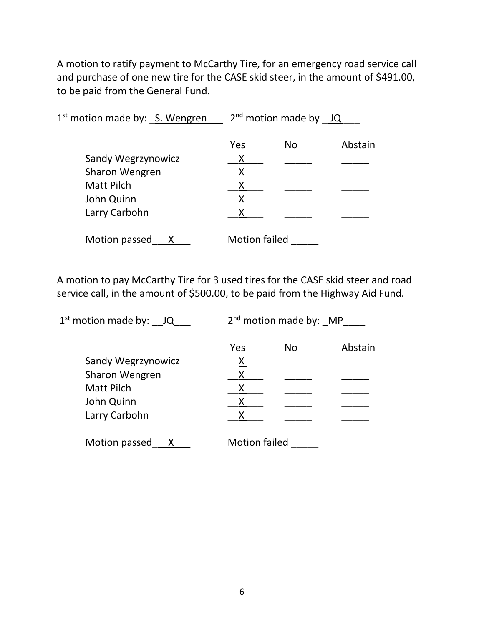A motion to ratify payment to McCarthy Tire, for an emergency road service call and purchase of one new tire for the CASE skid steer, in the amount of \$491.00, to be paid from the General Fund.

| $1st$ motion made by: S. Wengren |                      | $2nd$ motion made by JQ |         |
|----------------------------------|----------------------|-------------------------|---------|
|                                  | Yes                  | No                      | Abstain |
| Sandy Wegrzynowicz               | X                    |                         |         |
| Sharon Wengren                   |                      |                         |         |
| <b>Matt Pilch</b>                |                      |                         |         |
| John Quinn                       |                      |                         |         |
| Larry Carbohn                    |                      |                         |         |
| Motion passed                    | <b>Motion failed</b> |                         |         |

A motion to pay McCarthy Tire for 3 used tires for the CASE skid steer and road service call, in the amount of \$500.00, to be paid from the Highway Aid Fund.

| $1st$ motion made by: $JQ$ |                      | $2nd$ motion made by: MP |         |
|----------------------------|----------------------|--------------------------|---------|
|                            | Yes                  | <b>No</b>                | Abstain |
| Sandy Wegrzynowicz         | х                    |                          |         |
| Sharon Wengren             |                      |                          |         |
| <b>Matt Pilch</b>          |                      |                          |         |
| John Quinn                 |                      |                          |         |
| Larry Carbohn              |                      |                          |         |
| Motion passed<br>х         | <b>Motion failed</b> |                          |         |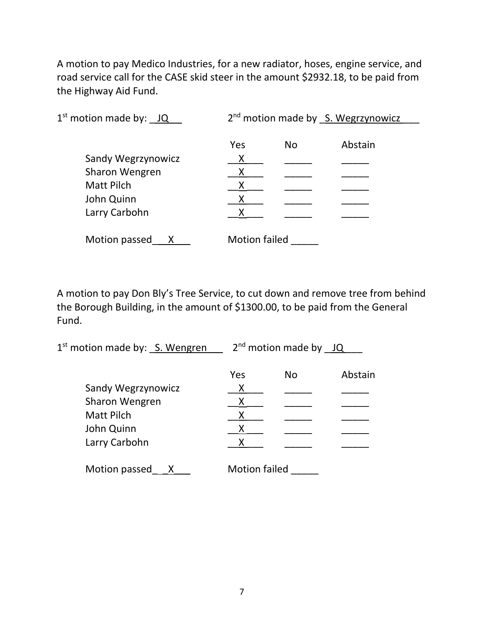A motion to pay Medico Industries, for a new radiator, hoses, engine service, and road service call for the CASE skid steer in the amount \$2932.18, to be paid from the Highway Aid Fund.

| $1st$ motion made by: $JQ$ | 2 <sup>nd</sup> motion made by S. Wegrzynowicz |           |         |  |
|----------------------------|------------------------------------------------|-----------|---------|--|
|                            | Yes                                            | <b>No</b> | Abstain |  |
| Sandy Wegrzynowicz         | Χ                                              |           |         |  |
| Sharon Wengren             |                                                |           |         |  |
| <b>Matt Pilch</b>          |                                                |           |         |  |
| John Quinn                 |                                                |           |         |  |
| Larry Carbohn              |                                                |           |         |  |
| Motion passed              | <b>Motion failed</b>                           |           |         |  |

A motion to pay Don Bly's Tree Service, to cut down and remove tree from behind the Borough Building, in the amount of \$1300.00, to be paid from the General Fund.

| Yes | <b>No</b> | Abstain                 |
|-----|-----------|-------------------------|
|     |           |                         |
|     |           |                         |
|     |           |                         |
|     |           |                         |
|     |           |                         |
|     |           | $2nd$ motion made by JQ |

Motion passed \_\_ X\_\_\_ Motion failed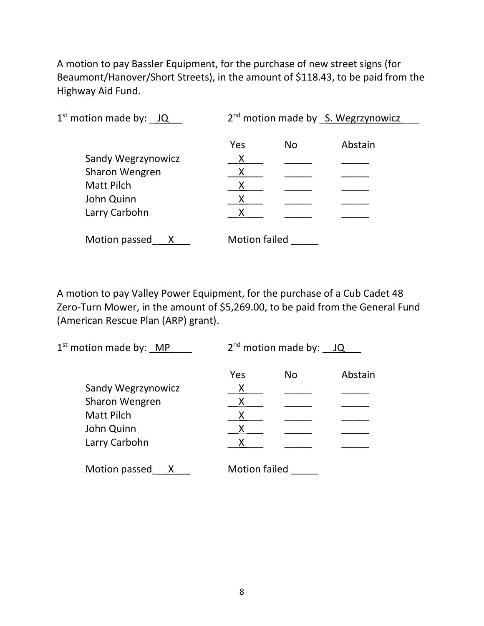A motion to pay Bassler Equipment, for the purchase of new street signs (for Beaumont/Hanover/Short Streets), in the amount of \$118.43, to be paid from the Highway Aid Fund.

| $1st$ motion made by: $JQ$ | 2 <sup>nd</sup> motion made by S. Wegrzynowicz |           |         |  |
|----------------------------|------------------------------------------------|-----------|---------|--|
|                            | Yes                                            | <b>No</b> | Abstain |  |
| Sandy Wegrzynowicz         | Χ                                              |           |         |  |
| Sharon Wengren             |                                                |           |         |  |
| <b>Matt Pilch</b>          |                                                |           |         |  |
| John Quinn                 |                                                |           |         |  |
| Larry Carbohn              |                                                |           |         |  |
| Motion passed              | <b>Motion failed</b>                           |           |         |  |

A motion to pay Valley Power Equipment, for the purchase of a Cub Cadet 48 Zero-Turn Mower, in the amount of \$5,269.00, to be paid from the General Fund (American Rescue Plan (ARP) grant).

| $1st$ motion made by: MP | $2^{nd}$ motion made by: JQ |           |         |
|--------------------------|-----------------------------|-----------|---------|
|                          | Yes                         | <b>No</b> | Abstain |
| Sandy Wegrzynowicz       | X                           |           |         |
| Sharon Wengren           |                             |           |         |
| <b>Matt Pilch</b>        |                             |           |         |
| John Quinn               |                             |           |         |
| Larry Carbohn            |                             |           |         |
| Motion passed            | <b>Motion failed</b>        |           |         |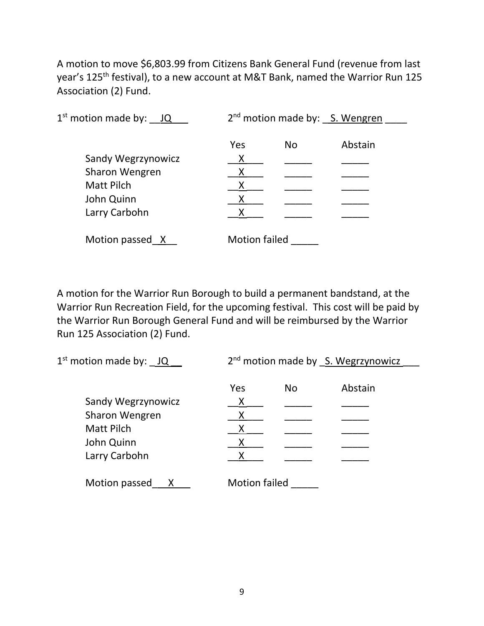A motion to move \$6,803.99 from Citizens Bank General Fund (revenue from last year's 125<sup>th</sup> festival), to a new account at M&T Bank, named the Warrior Run 125 Association (2) Fund.

| $1st$ motion made by: $JQ$ |                      | 2 <sup>nd</sup> motion made by: S. Wengren |         |  |
|----------------------------|----------------------|--------------------------------------------|---------|--|
|                            | Yes                  | <b>No</b>                                  | Abstain |  |
| Sandy Wegrzynowicz         | X                    |                                            |         |  |
| Sharon Wengren             |                      |                                            |         |  |
| <b>Matt Pilch</b>          |                      |                                            |         |  |
| John Quinn                 |                      |                                            |         |  |
| Larry Carbohn              |                      |                                            |         |  |
| Motion passed X            | <b>Motion failed</b> |                                            |         |  |

A motion for the Warrior Run Borough to build a permanent bandstand, at the Warrior Run Recreation Field, for the upcoming festival. This cost will be paid by the Warrior Run Borough General Fund and will be reimbursed by the Warrior Run 125 Association (2) Fund.

| $1st$ motion made by: $JQ$ | 2 <sup>nd</sup> motion made by S. Wegrzynowicz |    |         |  |
|----------------------------|------------------------------------------------|----|---------|--|
|                            |                                                |    |         |  |
|                            | Yes                                            | No | Abstain |  |
| Sandy Wegrzynowicz         | Χ                                              |    |         |  |
| Sharon Wengren             |                                                |    |         |  |
| <b>Matt Pilch</b>          |                                                |    |         |  |
| John Quinn                 |                                                |    |         |  |
| Larry Carbohn              |                                                |    |         |  |
|                            |                                                |    |         |  |
| Motion passed              | <b>Motion failed</b>                           |    |         |  |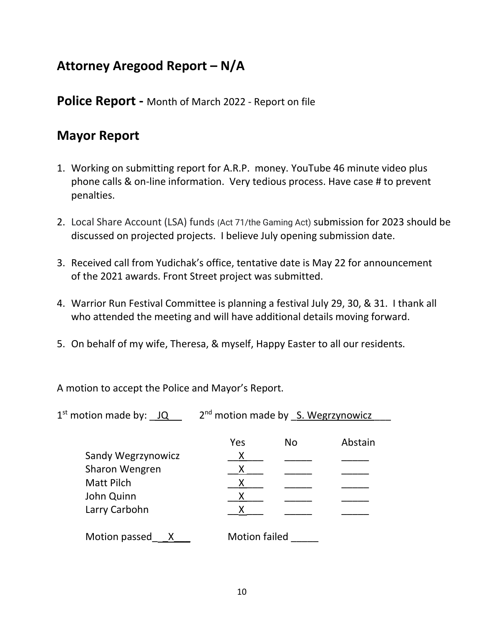## **Attorney Aregood Report – N/A**

**Police Report -** Month of March 2022 - Report on file

## **Mayor Report**

- 1. Working on submitting report for A.R.P. money. YouTube 46 minute video plus phone calls & on-line information. Very tedious process. Have case # to prevent penalties.
- 2. Local Share Account (LSA) funds (Act 71/the Gaming Act) submission for 2023 should be discussed on projected projects. I believe July opening submission date.
- 3. Received call from Yudichak's office, tentative date is May 22 for announcement of the 2021 awards. Front Street project was submitted.
- 4. Warrior Run Festival Committee is planning a festival July 29, 30, & 31. I thank all who attended the meeting and will have additional details moving forward.
- 5. On behalf of my wife, Theresa, & myself, Happy Easter to all our residents.

A motion to accept the Police and Mayor's Report.

 $1<sup>st</sup>$  motion made by:  $\underline{\hspace{1cm}}$  1Q  $\underline{\hspace{1cm}}$  2<sup>nd</sup> motion made by  $\underline{\hspace{1cm}}$  S. Wegrzynowicz

|                    | Yes                  | <b>No</b> | Abstain |
|--------------------|----------------------|-----------|---------|
| Sandy Wegrzynowicz | х                    |           |         |
| Sharon Wengren     | Х                    |           |         |
| <b>Matt Pilch</b>  |                      |           |         |
| John Quinn         |                      |           |         |
| Larry Carbohn      |                      |           |         |
| Motion passed      | <b>Motion failed</b> |           |         |